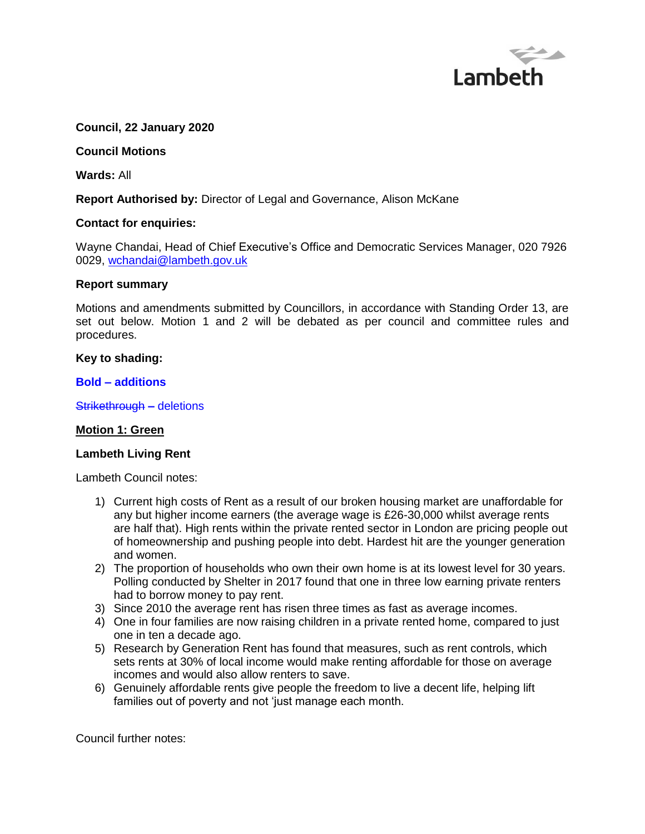

### **Council, 22 January 2020**

#### **Council Motions**

**Wards:** All

### **Report Authorised by:** Director of Legal and Governance, Alison McKane

#### **Contact for enquiries:**

Wayne Chandai, Head of Chief Executive's Office and Democratic Services Manager, 020 7926 0029, [wchandai@lambeth.gov.uk](mailto:wchandai@lambeth.gov.uk)

#### **Report summary**

Motions and amendments submitted by Councillors, in accordance with Standing Order 13, are set out below. Motion 1 and 2 will be debated as per council and committee rules and procedures.

#### **Key to shading:**

#### **Bold – additions**

Strikethrough **–** deletions

#### **Motion 1: Green**

#### **Lambeth Living Rent**

Lambeth Council notes:

- 1) Current high costs of Rent as a result of our broken housing market are unaffordable for any but higher income earners (the average wage is £26-30,000 whilst average rents are half that). High rents within the private rented sector in London are pricing people out of homeownership and pushing people into debt. Hardest hit are the younger generation and women.
- 2) The proportion of households who own their own home is at its lowest level for 30 years. Polling conducted by Shelter in 2017 found that one in three low earning private renters had to borrow money to pay rent.
- 3) Since 2010 the average rent has risen three times as fast as average incomes.
- 4) One in four families are now raising children in a private rented home, compared to just one in ten a decade ago.
- 5) Research by Generation Rent has found that measures, such as rent controls, which sets rents at 30% of local income would make renting affordable for those on average incomes and would also allow renters to save.
- 6) Genuinely affordable rents give people the freedom to live a decent life, helping lift families out of poverty and not 'just manage each month.

Council further notes: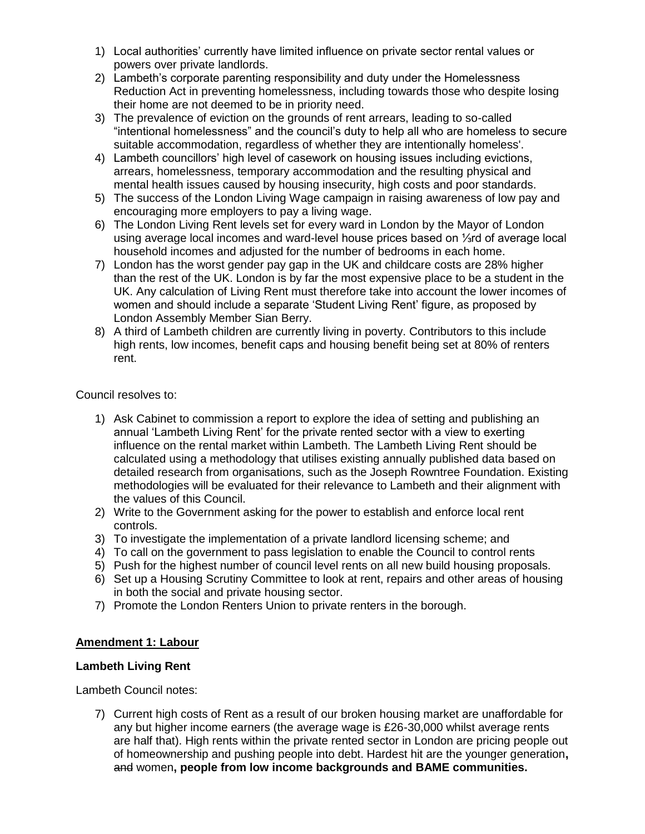- 1) Local authorities' currently have limited influence on private sector rental values or powers over private landlords.
- 2) Lambeth's corporate parenting responsibility and duty under the Homelessness Reduction Act in preventing homelessness, including towards those who despite losing their home are not deemed to be in priority need.
- 3) The prevalence of eviction on the grounds of rent arrears, leading to so-called "intentional homelessness" and the council's duty to help all who are homeless to secure suitable accommodation, regardless of whether they are intentionally homeless'.
- 4) Lambeth councillors' high level of casework on housing issues including evictions, arrears, homelessness, temporary accommodation and the resulting physical and mental health issues caused by housing insecurity, high costs and poor standards.
- 5) The success of the London Living Wage campaign in raising awareness of low pay and encouraging more employers to pay a living wage.
- 6) The London Living Rent levels set for every ward in London by the Mayor of London using average local incomes and ward-level house prices based on ⅓rd of average local household incomes and adjusted for the number of bedrooms in each home.
- 7) London has the worst gender pay gap in the UK and childcare costs are 28% higher than the rest of the UK. London is by far the most expensive place to be a student in the UK. Any calculation of Living Rent must therefore take into account the lower incomes of women and should include a separate 'Student Living Rent' figure, as proposed by London Assembly Member Sian Berry.
- 8) A third of Lambeth children are currently living in poverty. Contributors to this include high rents, low incomes, benefit caps and housing benefit being set at 80% of renters rent.

Council resolves to:

- 1) Ask Cabinet to commission a report to explore the idea of setting and publishing an annual 'Lambeth Living Rent' for the private rented sector with a view to exerting influence on the rental market within Lambeth. The Lambeth Living Rent should be calculated using a methodology that utilises existing annually published data based on detailed research from organisations, such as the Joseph Rowntree Foundation. Existing methodologies will be evaluated for their relevance to Lambeth and their alignment with the values of this Council.
- 2) Write to the Government asking for the power to establish and enforce local rent controls.
- 3) To investigate the implementation of a private landlord licensing scheme; and
- 4) To call on the government to pass legislation to enable the Council to control rents
- 5) Push for the highest number of council level rents on all new build housing proposals.
- 6) Set up a Housing Scrutiny Committee to look at rent, repairs and other areas of housing in both the social and private housing sector.
- 7) Promote the London Renters Union to private renters in the borough.

# **Amendment 1: Labour**

## **Lambeth Living Rent**

Lambeth Council notes:

7) Current high costs of Rent as a result of our broken housing market are unaffordable for any but higher income earners (the average wage is £26-30,000 whilst average rents are half that). High rents within the private rented sector in London are pricing people out of homeownership and pushing people into debt. Hardest hit are the younger generation**,** and women**, people from low income backgrounds and BAME communities.**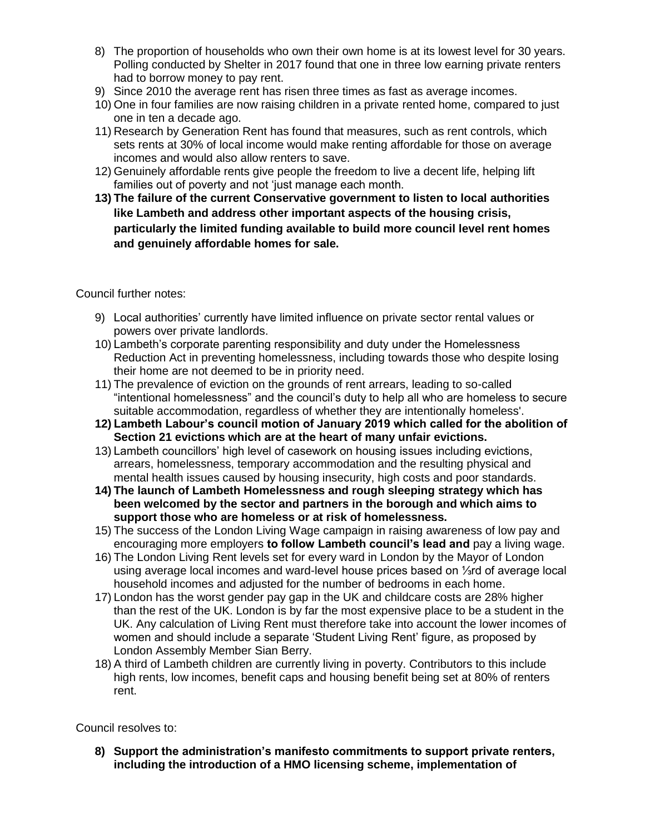- 8) The proportion of households who own their own home is at its lowest level for 30 years. Polling conducted by Shelter in 2017 found that one in three low earning private renters had to borrow money to pay rent.
- 9) Since 2010 the average rent has risen three times as fast as average incomes.
- 10) One in four families are now raising children in a private rented home, compared to just one in ten a decade ago.
- 11) Research by Generation Rent has found that measures, such as rent controls, which sets rents at 30% of local income would make renting affordable for those on average incomes and would also allow renters to save.
- 12) Genuinely affordable rents give people the freedom to live a decent life, helping lift families out of poverty and not 'just manage each month.
- **13) The failure of the current Conservative government to listen to local authorities like Lambeth and address other important aspects of the housing crisis, particularly the limited funding available to build more council level rent homes and genuinely affordable homes for sale.**

Council further notes:

- 9) Local authorities' currently have limited influence on private sector rental values or powers over private landlords.
- 10) Lambeth's corporate parenting responsibility and duty under the Homelessness Reduction Act in preventing homelessness, including towards those who despite losing their home are not deemed to be in priority need.
- 11) The prevalence of eviction on the grounds of rent arrears, leading to so-called "intentional homelessness" and the council's duty to help all who are homeless to secure suitable accommodation, regardless of whether they are intentionally homeless'.
- **12) Lambeth Labour's council motion of January 2019 which called for the abolition of Section 21 evictions which are at the heart of many unfair evictions.**
- 13) Lambeth councillors' high level of casework on housing issues including evictions, arrears, homelessness, temporary accommodation and the resulting physical and mental health issues caused by housing insecurity, high costs and poor standards.
- **14) The launch of Lambeth Homelessness and rough sleeping strategy which has been welcomed by the sector and partners in the borough and which aims to support those who are homeless or at risk of homelessness.**
- 15) The success of the London Living Wage campaign in raising awareness of low pay and encouraging more employers **to follow Lambeth council's lead and** pay a living wage.
- 16) The London Living Rent levels set for every ward in London by the Mayor of London using average local incomes and ward-level house prices based on ⅓rd of average local household incomes and adjusted for the number of bedrooms in each home.
- 17) London has the worst gender pay gap in the UK and childcare costs are 28% higher than the rest of the UK. London is by far the most expensive place to be a student in the UK. Any calculation of Living Rent must therefore take into account the lower incomes of women and should include a separate 'Student Living Rent' figure, as proposed by London Assembly Member Sian Berry.
- 18) A third of Lambeth children are currently living in poverty. Contributors to this include high rents, low incomes, benefit caps and housing benefit being set at 80% of renters rent.

Council resolves to:

**8) Support the administration's manifesto commitments to support private renters, including the introduction of a HMO licensing scheme, implementation of**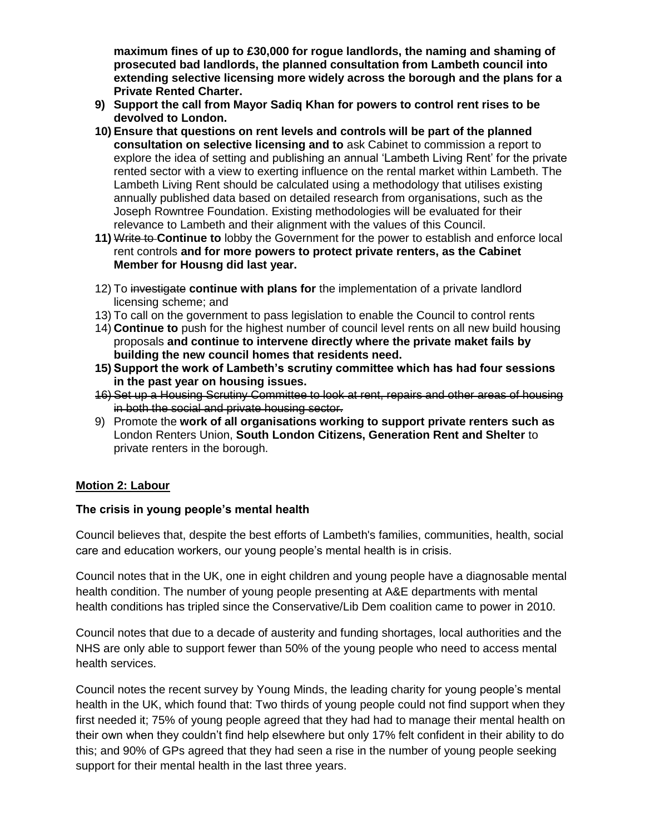**maximum fines of up to £30,000 for rogue landlords, the naming and shaming of prosecuted bad landlords, the planned consultation from Lambeth council into extending selective licensing more widely across the borough and the plans for a Private Rented Charter.**

- **9) Support the call from Mayor Sadiq Khan for powers to control rent rises to be devolved to London.**
- **10) Ensure that questions on rent levels and controls will be part of the planned consultation on selective licensing and to** ask Cabinet to commission a report to explore the idea of setting and publishing an annual 'Lambeth Living Rent' for the private rented sector with a view to exerting influence on the rental market within Lambeth. The Lambeth Living Rent should be calculated using a methodology that utilises existing annually published data based on detailed research from organisations, such as the Joseph Rowntree Foundation. Existing methodologies will be evaluated for their relevance to Lambeth and their alignment with the values of this Council.
- **11)** Write to **Continue to** lobby the Government for the power to establish and enforce local rent controls **and for more powers to protect private renters, as the Cabinet Member for Housng did last year.**
- 12) To investigate **continue with plans for** the implementation of a private landlord licensing scheme; and
- 13) To call on the government to pass legislation to enable the Council to control rents
- 14) **Continue to** push for the highest number of council level rents on all new build housing proposals **and continue to intervene directly where the private maket fails by building the new council homes that residents need.**
- **15) Support the work of Lambeth's scrutiny committee which has had four sessions in the past year on housing issues.**
- 16) Set up a Housing Scrutiny Committee to look at rent, repairs and other areas of housing in both the social and private housing sector.
- 9) Promote the **work of all organisations working to support private renters such as** London Renters Union, **South London Citizens, Generation Rent and Shelter** to private renters in the borough.

# **Motion 2: Labour**

## **The crisis in young people's mental health**

Council believes that, despite the best efforts of Lambeth's families, communities, health, social care and education workers, our young people's mental health is in crisis.

Council notes that in the UK, one in eight children and young people have a diagnosable mental health condition. The number of young people presenting at A&E departments with mental health conditions has tripled since the Conservative/Lib Dem coalition came to power in 2010.

Council notes that due to a decade of austerity and funding shortages, local authorities and the NHS are only able to support fewer than 50% of the young people who need to access mental health services.

Council notes the recent survey by Young Minds, the leading charity for young people's mental health in the UK, which found that: Two thirds of young people could not find support when they first needed it; 75% of young people agreed that they had had to manage their mental health on their own when they couldn't find help elsewhere but only 17% felt confident in their ability to do this; and 90% of GPs agreed that they had seen a rise in the number of young people seeking support for their mental health in the last three years.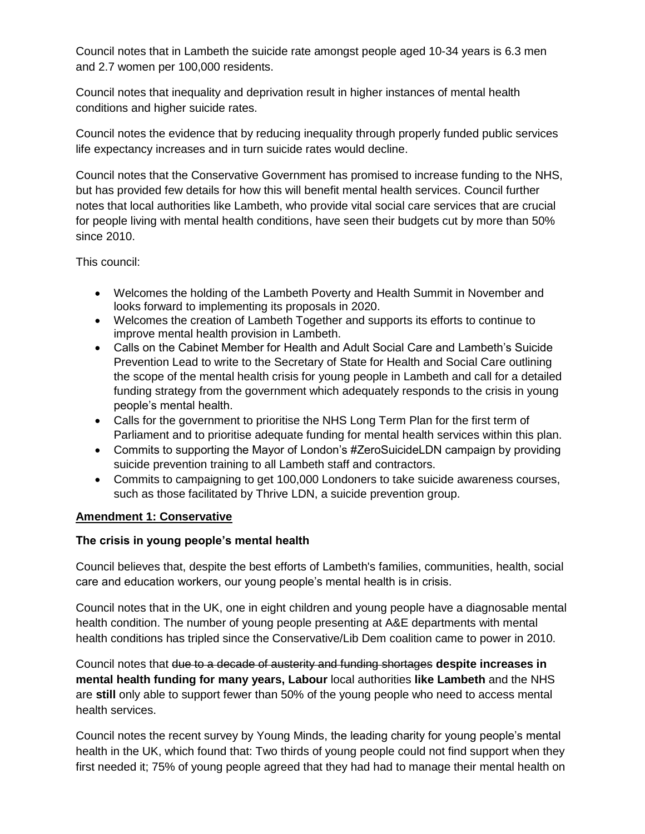Council notes that in Lambeth the suicide rate amongst people aged 10-34 years is 6.3 men and 2.7 women per 100,000 residents.

Council notes that inequality and deprivation result in higher instances of mental health conditions and higher suicide rates.

Council notes the evidence that by reducing inequality through properly funded public services life expectancy increases and in turn suicide rates would decline.

Council notes that the Conservative Government has promised to increase funding to the NHS, but has provided few details for how this will benefit mental health services. Council further notes that local authorities like Lambeth, who provide vital social care services that are crucial for people living with mental health conditions, have seen their budgets cut by more than 50% since 2010.

This council:

- Welcomes the holding of the Lambeth Poverty and Health Summit in November and looks forward to implementing its proposals in 2020.
- Welcomes the creation of Lambeth Together and supports its efforts to continue to improve mental health provision in Lambeth.
- Calls on the Cabinet Member for Health and Adult Social Care and Lambeth's Suicide Prevention Lead to write to the Secretary of State for Health and Social Care outlining the scope of the mental health crisis for young people in Lambeth and call for a detailed funding strategy from the government which adequately responds to the crisis in young people's mental health.
- Calls for the government to prioritise the NHS Long Term Plan for the first term of Parliament and to prioritise adequate funding for mental health services within this plan.
- Commits to supporting the Mayor of London's #ZeroSuicideLDN campaign by providing suicide prevention training to all Lambeth staff and contractors.
- Commits to campaigning to get 100,000 Londoners to take suicide awareness courses, such as those facilitated by Thrive LDN, a suicide prevention group.

# **Amendment 1: Conservative**

## **The crisis in young people's mental health**

Council believes that, despite the best efforts of Lambeth's families, communities, health, social care and education workers, our young people's mental health is in crisis.

Council notes that in the UK, one in eight children and young people have a diagnosable mental health condition. The number of young people presenting at A&E departments with mental health conditions has tripled since the Conservative/Lib Dem coalition came to power in 2010.

Council notes that due to a decade of austerity and funding shortages **despite increases in mental health funding for many years, Labour** local authorities **like Lambeth** and the NHS are **still** only able to support fewer than 50% of the young people who need to access mental health services.

Council notes the recent survey by Young Minds, the leading charity for young people's mental health in the UK, which found that: Two thirds of young people could not find support when they first needed it; 75% of young people agreed that they had had to manage their mental health on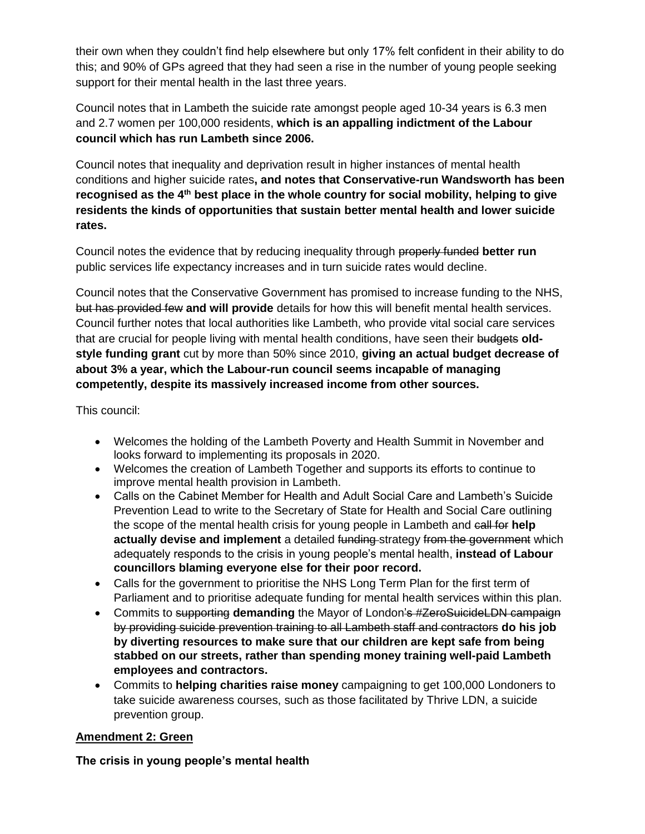their own when they couldn't find help elsewhere but only 17% felt confident in their ability to do this; and 90% of GPs agreed that they had seen a rise in the number of young people seeking support for their mental health in the last three years.

Council notes that in Lambeth the suicide rate amongst people aged 10-34 years is 6.3 men and 2.7 women per 100,000 residents, **which is an appalling indictment of the Labour council which has run Lambeth since 2006.**

Council notes that inequality and deprivation result in higher instances of mental health conditions and higher suicide rates**, and notes that Conservative-run Wandsworth has been recognised as the 4th best place in the whole country for social mobility, helping to give residents the kinds of opportunities that sustain better mental health and lower suicide rates.**

Council notes the evidence that by reducing inequality through properly funded **better run** public services life expectancy increases and in turn suicide rates would decline.

Council notes that the Conservative Government has promised to increase funding to the NHS, but has provided few **and will provide** details for how this will benefit mental health services. Council further notes that local authorities like Lambeth, who provide vital social care services that are crucial for people living with mental health conditions, have seen their budgets **oldstyle funding grant** cut by more than 50% since 2010, **giving an actual budget decrease of about 3% a year, which the Labour-run council seems incapable of managing competently, despite its massively increased income from other sources.**

This council:

- Welcomes the holding of the Lambeth Poverty and Health Summit in November and looks forward to implementing its proposals in 2020.
- Welcomes the creation of Lambeth Together and supports its efforts to continue to improve mental health provision in Lambeth.
- Calls on the Cabinet Member for Health and Adult Social Care and Lambeth's Suicide Prevention Lead to write to the Secretary of State for Health and Social Care outlining the scope of the mental health crisis for young people in Lambeth and call for **help actually devise and implement** a detailed funding strategy from the government which adequately responds to the crisis in young people's mental health, **instead of Labour councillors blaming everyone else for their poor record.**
- Calls for the government to prioritise the NHS Long Term Plan for the first term of Parliament and to prioritise adequate funding for mental health services within this plan.
- Commits to supporting **demanding** the Mayor of London's #ZeroSuicideLDN campaign by providing suicide prevention training to all Lambeth staff and contractors **do his job by diverting resources to make sure that our children are kept safe from being stabbed on our streets, rather than spending money training well-paid Lambeth employees and contractors.**
- Commits to **helping charities raise money** campaigning to get 100,000 Londoners to take suicide awareness courses, such as those facilitated by Thrive LDN, a suicide prevention group.

# **Amendment 2: Green**

**The crisis in young people's mental health**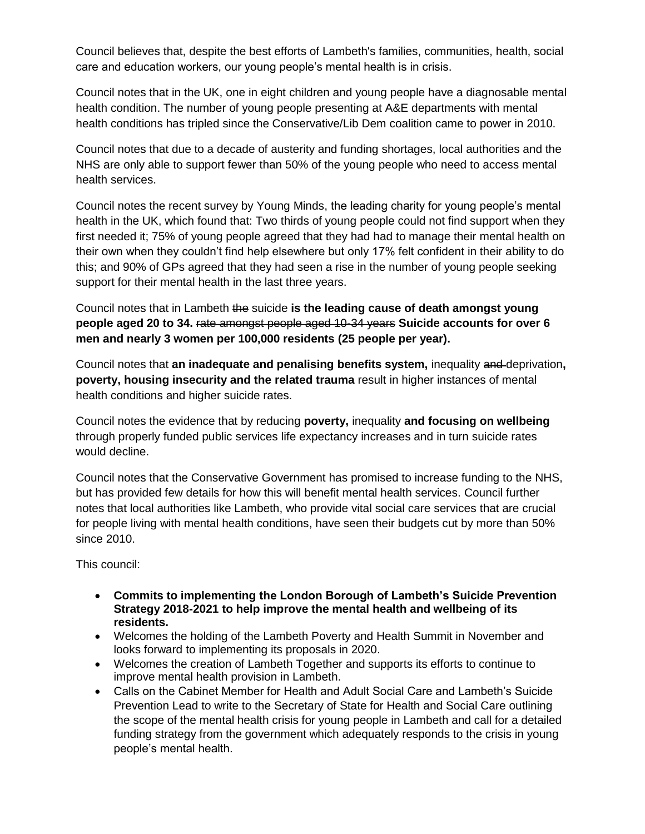Council believes that, despite the best efforts of Lambeth's families, communities, health, social care and education workers, our young people's mental health is in crisis.

Council notes that in the UK, one in eight children and young people have a diagnosable mental health condition. The number of young people presenting at A&E departments with mental health conditions has tripled since the Conservative/Lib Dem coalition came to power in 2010.

Council notes that due to a decade of austerity and funding shortages, local authorities and the NHS are only able to support fewer than 50% of the young people who need to access mental health services.

Council notes the recent survey by Young Minds, the leading charity for young people's mental health in the UK, which found that: Two thirds of young people could not find support when they first needed it; 75% of young people agreed that they had had to manage their mental health on their own when they couldn't find help elsewhere but only 17% felt confident in their ability to do this; and 90% of GPs agreed that they had seen a rise in the number of young people seeking support for their mental health in the last three years.

Council notes that in Lambeth the suicide **is the leading cause of death amongst young people aged 20 to 34.** rate amongst people aged 10-34 years **Suicide accounts for over 6 men and nearly 3 women per 100,000 residents (25 people per year).**

Council notes that **an inadequate and penalising benefits system,** inequality and deprivation**, poverty, housing insecurity and the related trauma** result in higher instances of mental health conditions and higher suicide rates.

Council notes the evidence that by reducing **poverty,** inequality **and focusing on wellbeing**  through properly funded public services life expectancy increases and in turn suicide rates would decline.

Council notes that the Conservative Government has promised to increase funding to the NHS, but has provided few details for how this will benefit mental health services. Council further notes that local authorities like Lambeth, who provide vital social care services that are crucial for people living with mental health conditions, have seen their budgets cut by more than 50% since 2010.

This council:

- **Commits to implementing the London Borough of Lambeth's Suicide Prevention Strategy 2018-2021 to help improve the mental health and wellbeing of its residents.**
- Welcomes the holding of the Lambeth Poverty and Health Summit in November and looks forward to implementing its proposals in 2020.
- Welcomes the creation of Lambeth Together and supports its efforts to continue to improve mental health provision in Lambeth.
- Calls on the Cabinet Member for Health and Adult Social Care and Lambeth's Suicide Prevention Lead to write to the Secretary of State for Health and Social Care outlining the scope of the mental health crisis for young people in Lambeth and call for a detailed funding strategy from the government which adequately responds to the crisis in young people's mental health.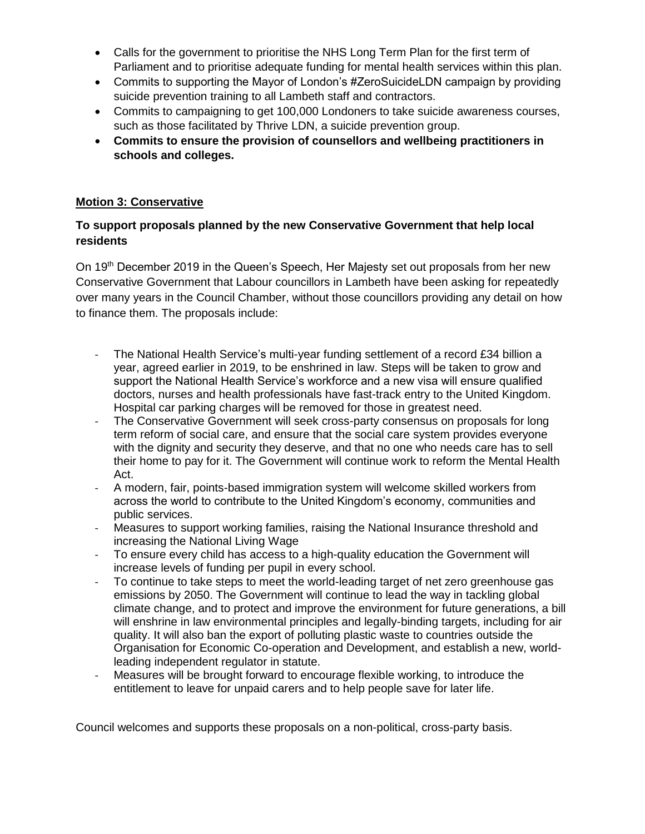- Calls for the government to prioritise the NHS Long Term Plan for the first term of Parliament and to prioritise adequate funding for mental health services within this plan.
- Commits to supporting the Mayor of London's #ZeroSuicideLDN campaign by providing suicide prevention training to all Lambeth staff and contractors.
- Commits to campaigning to get 100,000 Londoners to take suicide awareness courses, such as those facilitated by Thrive LDN, a suicide prevention group.
- **Commits to ensure the provision of counsellors and wellbeing practitioners in schools and colleges.**

## **Motion 3: Conservative**

## **To support proposals planned by the new Conservative Government that help local residents**

On 19<sup>th</sup> December 2019 in the Queen's Speech, Her Majesty set out proposals from her new Conservative Government that Labour councillors in Lambeth have been asking for repeatedly over many years in the Council Chamber, without those councillors providing any detail on how to finance them. The proposals include:

- The National Health Service's multi-year funding settlement of a record £34 billion a year, agreed earlier in 2019, to be enshrined in law. Steps will be taken to grow and support the National Health Service's workforce and a new visa will ensure qualified doctors, nurses and health professionals have fast-track entry to the United Kingdom. Hospital car parking charges will be removed for those in greatest need.
- The Conservative Government will seek cross-party consensus on proposals for long term reform of social care, and ensure that the social care system provides everyone with the dignity and security they deserve, and that no one who needs care has to sell their home to pay for it. The Government will continue work to reform the Mental Health Act.
- A modern, fair, points-based immigration system will welcome skilled workers from across the world to contribute to the United Kingdom's economy, communities and public services.
- Measures to support working families, raising the National Insurance threshold and increasing the National Living Wage
- To ensure every child has access to a high-quality education the Government will increase levels of funding per pupil in every school.
- To continue to take steps to meet the world-leading target of net zero greenhouse gas emissions by 2050. The Government will continue to lead the way in tackling global climate change, and to protect and improve the environment for future generations, a bill will enshrine in law environmental principles and legally-binding targets, including for air quality. It will also ban the export of polluting plastic waste to countries outside the Organisation for Economic Co-operation and Development, and establish a new, worldleading independent regulator in statute.
- Measures will be brought forward to encourage flexible working, to introduce the entitlement to leave for unpaid carers and to help people save for later life.

Council welcomes and supports these proposals on a non-political, cross-party basis.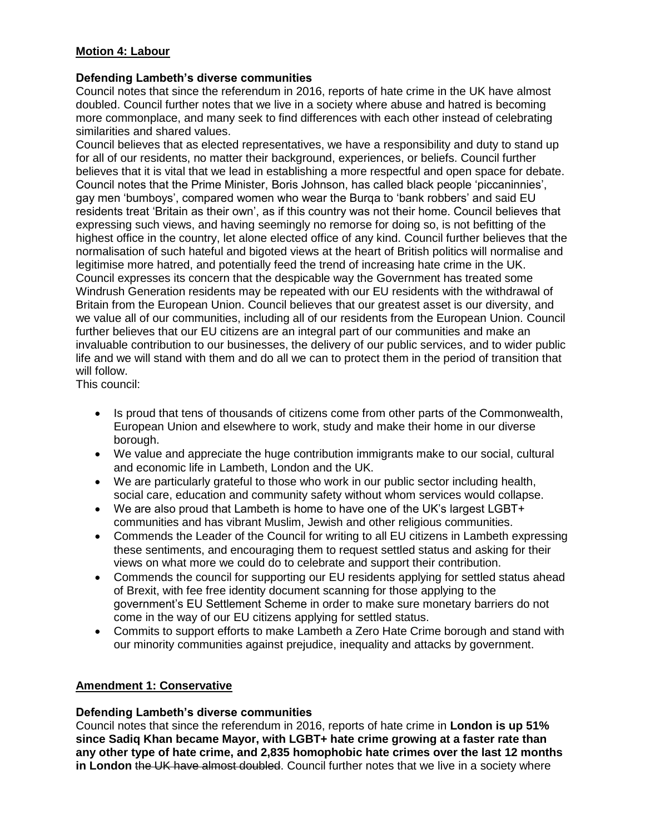## **Motion 4: Labour**

## **Defending Lambeth's diverse communities**

Council notes that since the referendum in 2016, reports of hate crime in the UK have almost doubled. Council further notes that we live in a society where abuse and hatred is becoming more commonplace, and many seek to find differences with each other instead of celebrating similarities and shared values.

Council believes that as elected representatives, we have a responsibility and duty to stand up for all of our residents, no matter their background, experiences, or beliefs. Council further believes that it is vital that we lead in establishing a more respectful and open space for debate. Council notes that the Prime Minister, Boris Johnson, has called black people 'piccaninnies', gay men 'bumboys', compared women who wear the Burqa to 'bank robbers' and said EU residents treat 'Britain as their own', as if this country was not their home. Council believes that expressing such views, and having seemingly no remorse for doing so, is not befitting of the highest office in the country, let alone elected office of any kind. Council further believes that the normalisation of such hateful and bigoted views at the heart of British politics will normalise and legitimise more hatred, and potentially feed the trend of increasing hate crime in the UK. Council expresses its concern that the despicable way the Government has treated some Windrush Generation residents may be repeated with our EU residents with the withdrawal of Britain from the European Union. Council believes that our greatest asset is our diversity, and we value all of our communities, including all of our residents from the European Union. Council further believes that our EU citizens are an integral part of our communities and make an invaluable contribution to our businesses, the delivery of our public services, and to wider public life and we will stand with them and do all we can to protect them in the period of transition that will follow.

This council:

- Is proud that tens of thousands of citizens come from other parts of the Commonwealth, European Union and elsewhere to work, study and make their home in our diverse borough.
- We value and appreciate the huge contribution immigrants make to our social, cultural and economic life in Lambeth, London and the UK.
- We are particularly grateful to those who work in our public sector including health, social care, education and community safety without whom services would collapse.
- We are also proud that Lambeth is home to have one of the UK's largest LGBT+ communities and has vibrant Muslim, Jewish and other religious communities.
- Commends the Leader of the Council for writing to all EU citizens in Lambeth expressing these sentiments, and encouraging them to request settled status and asking for their views on what more we could do to celebrate and support their contribution.
- Commends the council for supporting our EU residents applying for settled status ahead of Brexit, with fee free identity document scanning for those applying to the government's EU Settlement Scheme in order to make sure monetary barriers do not come in the way of our EU citizens applying for settled status.
- Commits to support efforts to make Lambeth a Zero Hate Crime borough and stand with our minority communities against prejudice, inequality and attacks by government.

## **Amendment 1: Conservative**

## **Defending Lambeth's diverse communities**

Council notes that since the referendum in 2016, reports of hate crime in **London is up 51% since Sadiq Khan became Mayor, with LGBT+ hate crime growing at a faster rate than any other type of hate crime, and 2,835 homophobic hate crimes over the last 12 months in London** the UK have almost doubled. Council further notes that we live in a society where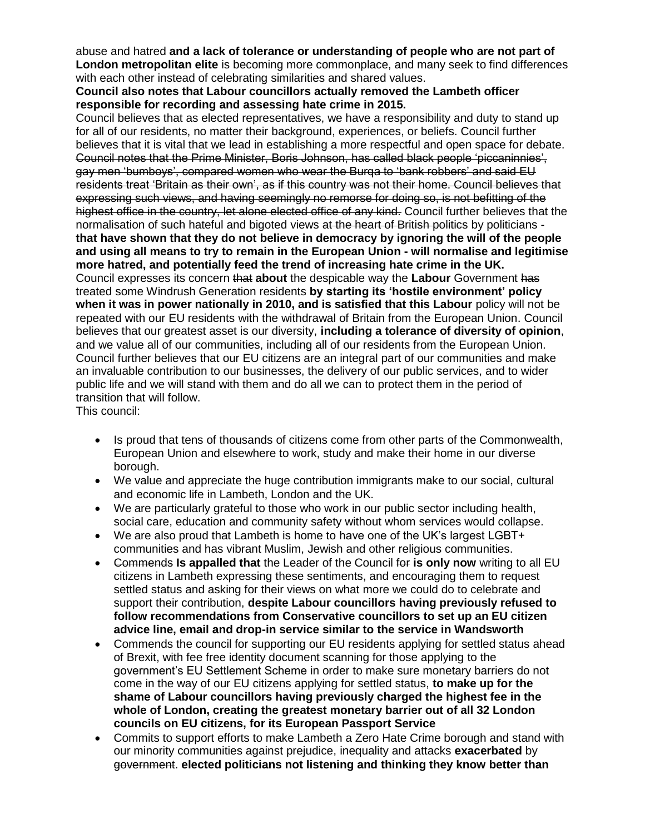abuse and hatred **and a lack of tolerance or understanding of people who are not part of London metropolitan elite** is becoming more commonplace, and many seek to find differences with each other instead of celebrating similarities and shared values.

#### **Council also notes that Labour councillors actually removed the Lambeth officer responsible for recording and assessing hate crime in 2015.**

Council believes that as elected representatives, we have a responsibility and duty to stand up for all of our residents, no matter their background, experiences, or beliefs. Council further believes that it is vital that we lead in establishing a more respectful and open space for debate. Council notes that the Prime Minister, Boris Johnson, has called black people 'piccaninnies', gay men 'bumboys', compared women who wear the Burqa to 'bank robbers' and said EU residents treat 'Britain as their own', as if this country was not their home. Council believes that expressing such views, and having seemingly no remorse for doing so, is not befitting of the highest office in the country, let alone elected office of any kind. Council further believes that the normalisation of such hateful and bigoted views at the heart of British politics by politicians **that have shown that they do not believe in democracy by ignoring the will of the people and using all means to try to remain in the European Union - will normalise and legitimise more hatred, and potentially feed the trend of increasing hate crime in the UK.**  Council expresses its concern that **about** the despicable way the **Labour** Government has treated some Windrush Generation residents **by starting its 'hostile environment' policy when it was in power nationally in 2010, and is satisfied that this Labour** policy will not be repeated with our EU residents with the withdrawal of Britain from the European Union. Council believes that our greatest asset is our diversity, **including a tolerance of diversity of opinion**, and we value all of our communities, including all of our residents from the European Union. Council further believes that our EU citizens are an integral part of our communities and make an invaluable contribution to our businesses, the delivery of our public services, and to wider public life and we will stand with them and do all we can to protect them in the period of transition that will follow. This council:

• Is proud that tens of thousands of citizens come from other parts of the Commonwealth, European Union and elsewhere to work, study and make their home in our diverse borough.

- We value and appreciate the huge contribution immigrants make to our social, cultural and economic life in Lambeth, London and the UK.
- We are particularly grateful to those who work in our public sector including health, social care, education and community safety without whom services would collapse.
- We are also proud that Lambeth is home to have one of the UK's largest LGBT+ communities and has vibrant Muslim, Jewish and other religious communities.
- Commends **Is appalled that** the Leader of the Council for **is only now** writing to all EU citizens in Lambeth expressing these sentiments, and encouraging them to request settled status and asking for their views on what more we could do to celebrate and support their contribution, **despite Labour councillors having previously refused to follow recommendations from Conservative councillors to set up an EU citizen advice line, email and drop-in service similar to the service in Wandsworth**
- Commends the council for supporting our EU residents applying for settled status ahead of Brexit, with fee free identity document scanning for those applying to the government's EU Settlement Scheme in order to make sure monetary barriers do not come in the way of our EU citizens applying for settled status, **to make up for the shame of Labour councillors having previously charged the highest fee in the whole of London, creating the greatest monetary barrier out of all 32 London councils on EU citizens, for its European Passport Service**
- Commits to support efforts to make Lambeth a Zero Hate Crime borough and stand with our minority communities against prejudice, inequality and attacks **exacerbated** by government. **elected politicians not listening and thinking they know better than**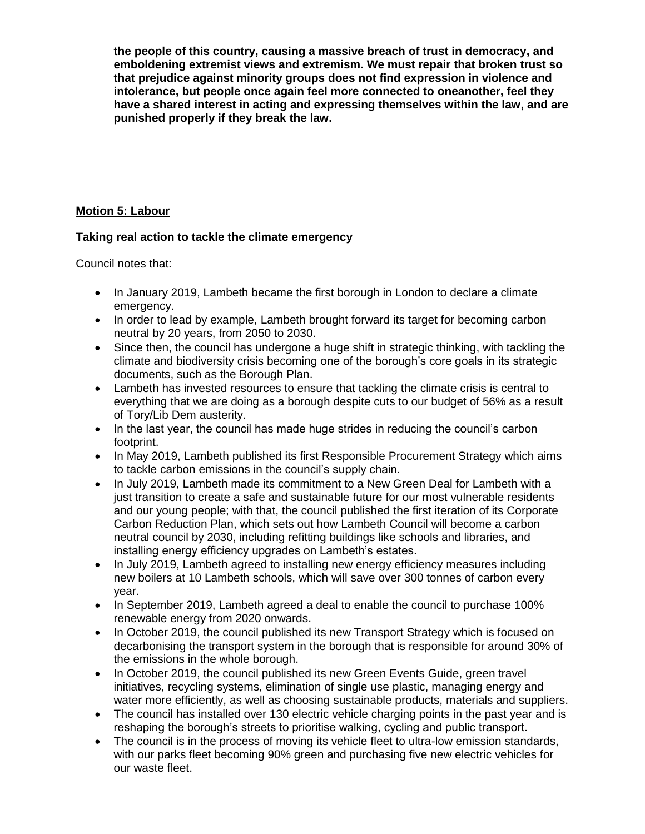**the people of this country, causing a massive breach of trust in democracy, and emboldening extremist views and extremism. We must repair that broken trust so that prejudice against minority groups does not find expression in violence and intolerance, but people once again feel more connected to oneanother, feel they have a shared interest in acting and expressing themselves within the law, and are punished properly if they break the law.** 

## **Motion 5: Labour**

## **Taking real action to tackle the climate emergency**

Council notes that:

- In January 2019, Lambeth became the first borough in London to declare a climate emergency.
- In order to lead by example, Lambeth brought forward its target for becoming carbon neutral by 20 years, from 2050 to 2030.
- Since then, the council has undergone a huge shift in strategic thinking, with tackling the climate and biodiversity crisis becoming one of the borough's core goals in its strategic documents, such as the Borough Plan.
- Lambeth has invested resources to ensure that tackling the climate crisis is central to everything that we are doing as a borough despite cuts to our budget of 56% as a result of Tory/Lib Dem austerity.
- In the last year, the council has made huge strides in reducing the council's carbon footprint.
- In May 2019, Lambeth published its first Responsible Procurement Strategy which aims to tackle carbon emissions in the council's supply chain.
- In July 2019, Lambeth made its commitment to a New Green Deal for Lambeth with a just transition to create a safe and sustainable future for our most vulnerable residents and our young people; with that, the council published the first iteration of its Corporate Carbon Reduction Plan, which sets out how Lambeth Council will become a carbon neutral council by 2030, including refitting buildings like schools and libraries, and installing energy efficiency upgrades on Lambeth's estates.
- In July 2019, Lambeth agreed to installing new energy efficiency measures including new boilers at 10 Lambeth schools, which will save over 300 tonnes of carbon every year.
- In September 2019, Lambeth agreed a deal to enable the council to purchase 100% renewable energy from 2020 onwards.
- In October 2019, the council published its new Transport Strategy which is focused on decarbonising the transport system in the borough that is responsible for around 30% of the emissions in the whole borough.
- In October 2019, the council published its new Green Events Guide, green travel initiatives, recycling systems, elimination of single use plastic, managing energy and water more efficiently, as well as choosing sustainable products, materials and suppliers.
- The council has installed over 130 electric vehicle charging points in the past year and is reshaping the borough's streets to prioritise walking, cycling and public transport.
- The council is in the process of moving its vehicle fleet to ultra-low emission standards, with our parks fleet becoming 90% green and purchasing five new electric vehicles for our waste fleet.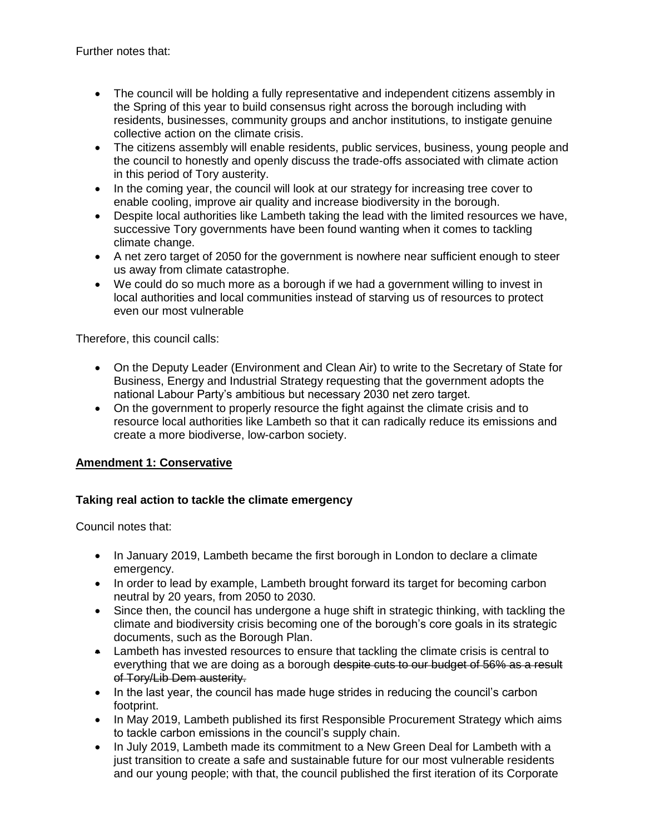- The council will be holding a fully representative and independent citizens assembly in the Spring of this year to build consensus right across the borough including with residents, businesses, community groups and anchor institutions, to instigate genuine collective action on the climate crisis.
- The citizens assembly will enable residents, public services, business, young people and the council to honestly and openly discuss the trade-offs associated with climate action in this period of Tory austerity.
- In the coming year, the council will look at our strategy for increasing tree cover to enable cooling, improve air quality and increase biodiversity in the borough.
- Despite local authorities like Lambeth taking the lead with the limited resources we have, successive Tory governments have been found wanting when it comes to tackling climate change.
- A net zero target of 2050 for the government is nowhere near sufficient enough to steer us away from climate catastrophe.
- We could do so much more as a borough if we had a government willing to invest in local authorities and local communities instead of starving us of resources to protect even our most vulnerable

Therefore, this council calls:

- On the Deputy Leader (Environment and Clean Air) to write to the Secretary of State for Business, Energy and Industrial Strategy requesting that the government adopts the national Labour Party's ambitious but necessary 2030 net zero target.
- On the government to properly resource the fight against the climate crisis and to resource local authorities like Lambeth so that it can radically reduce its emissions and create a more biodiverse, low-carbon society.

# **Amendment 1: Conservative**

# **Taking real action to tackle the climate emergency**

Council notes that:

- In January 2019, Lambeth became the first borough in London to declare a climate emergency.
- In order to lead by example, Lambeth brought forward its target for becoming carbon neutral by 20 years, from 2050 to 2030.
- Since then, the council has undergone a huge shift in strategic thinking, with tackling the climate and biodiversity crisis becoming one of the borough's core goals in its strategic documents, such as the Borough Plan.
- Lambeth has invested resources to ensure that tackling the climate crisis is central to everything that we are doing as a borough despite cuts to our budget of 56% as a result of Tory/Lib Dem austerity.
- In the last year, the council has made huge strides in reducing the council's carbon footprint.
- In May 2019, Lambeth published its first Responsible Procurement Strategy which aims to tackle carbon emissions in the council's supply chain.
- In July 2019, Lambeth made its commitment to a New Green Deal for Lambeth with a just transition to create a safe and sustainable future for our most vulnerable residents and our young people; with that, the council published the first iteration of its Corporate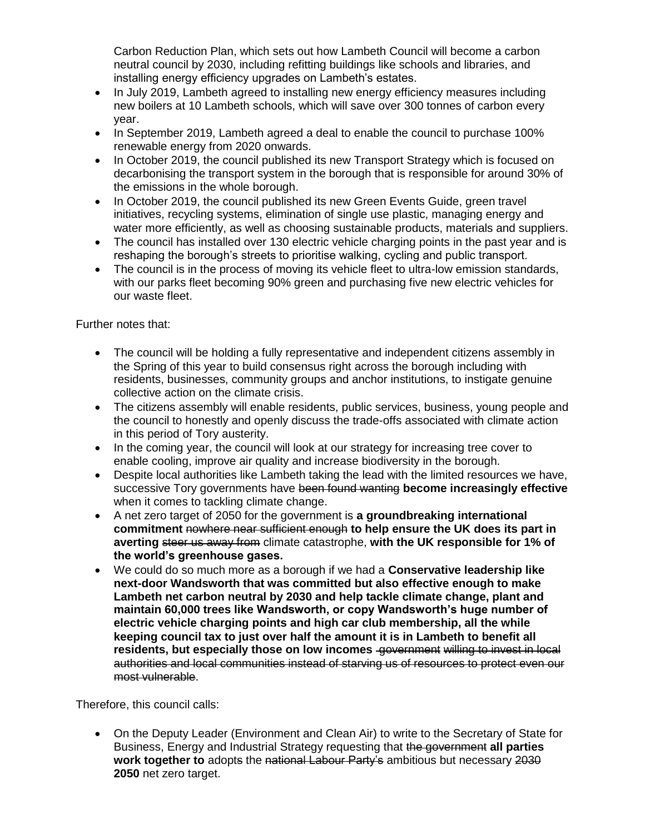Carbon Reduction Plan, which sets out how Lambeth Council will become a carbon neutral council by 2030, including refitting buildings like schools and libraries, and installing energy efficiency upgrades on Lambeth's estates.

- In July 2019, Lambeth agreed to installing new energy efficiency measures including new boilers at 10 Lambeth schools, which will save over 300 tonnes of carbon every year.
- In September 2019, Lambeth agreed a deal to enable the council to purchase 100% renewable energy from 2020 onwards.
- In October 2019, the council published its new Transport Strategy which is focused on decarbonising the transport system in the borough that is responsible for around 30% of the emissions in the whole borough.
- In October 2019, the council published its new Green Events Guide, green travel initiatives, recycling systems, elimination of single use plastic, managing energy and water more efficiently, as well as choosing sustainable products, materials and suppliers.
- The council has installed over 130 electric vehicle charging points in the past year and is reshaping the borough's streets to prioritise walking, cycling and public transport.
- The council is in the process of moving its vehicle fleet to ultra-low emission standards, with our parks fleet becoming 90% green and purchasing five new electric vehicles for our waste fleet.

Further notes that:

- The council will be holding a fully representative and independent citizens assembly in the Spring of this year to build consensus right across the borough including with residents, businesses, community groups and anchor institutions, to instigate genuine collective action on the climate crisis.
- The citizens assembly will enable residents, public services, business, young people and the council to honestly and openly discuss the trade-offs associated with climate action in this period of Tory austerity.
- In the coming year, the council will look at our strategy for increasing tree cover to enable cooling, improve air quality and increase biodiversity in the borough.
- Despite local authorities like Lambeth taking the lead with the limited resources we have, successive Tory governments have been found wanting **become increasingly effective** when it comes to tackling climate change.
- A net zero target of 2050 for the government is **a groundbreaking international commitment** nowhere near sufficient enough **to help ensure the UK does its part in averting** steer us away from climate catastrophe, **with the UK responsible for 1% of the world's greenhouse gases.**
- We could do so much more as a borough if we had a **Conservative leadership like next-door Wandsworth that was committed but also effective enough to make Lambeth net carbon neutral by 2030 and help tackle climate change, plant and maintain 60,000 trees like Wandsworth, or copy Wandsworth's huge number of electric vehicle charging points and high car club membership, all the while keeping council tax to just over half the amount it is in Lambeth to benefit all residents, but especially those on low incomes** government willing to invest in local authorities and local communities instead of starving us of resources to protect even our most vulnerable.

Therefore, this council calls:

 On the Deputy Leader (Environment and Clean Air) to write to the Secretary of State for Business, Energy and Industrial Strategy requesting that the government **all parties work together to** adopts the national Labour Party's ambitious but necessary 2030 **2050** net zero target.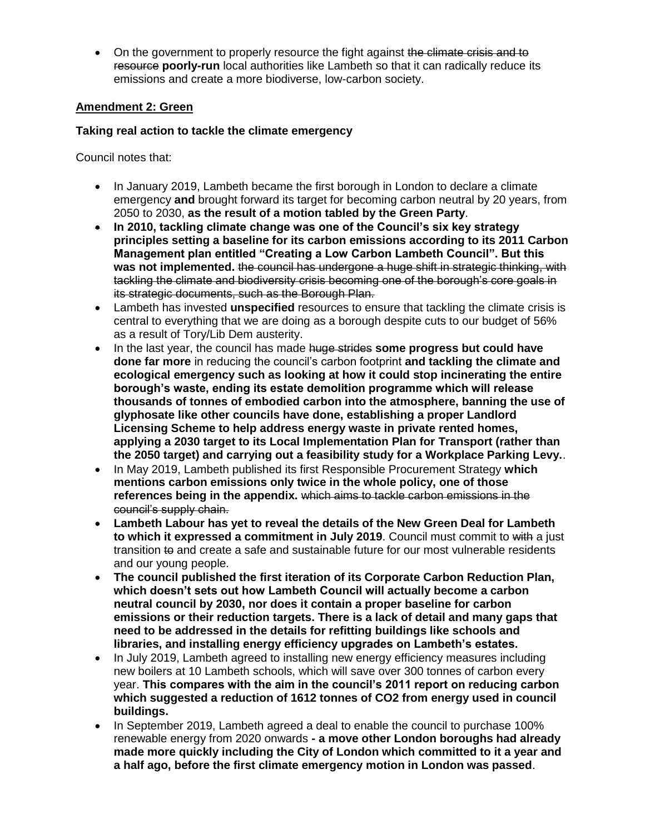• On the government to properly resource the fight against the climate crisis and to resource **poorly-run** local authorities like Lambeth so that it can radically reduce its emissions and create a more biodiverse, low-carbon society.

## **Amendment 2: Green**

## **Taking real action to tackle the climate emergency**

Council notes that:

- In January 2019, Lambeth became the first borough in London to declare a climate emergency **and** brought forward its target for becoming carbon neutral by 20 years, from 2050 to 2030, **as the result of a motion tabled by the Green Party**.
- **In 2010, tackling climate change was one of the Council's six key strategy principles setting a baseline for its carbon emissions according to its 2011 Carbon Management plan entitled "Creating a Low Carbon Lambeth Council". But this was not implemented.** the council has undergone a huge shift in strategic thinking, with tackling the climate and biodiversity crisis becoming one of the borough's core goals in its strategic documents, such as the Borough Plan.
- Lambeth has invested **unspecified** resources to ensure that tackling the climate crisis is central to everything that we are doing as a borough despite cuts to our budget of 56% as a result of Tory/Lib Dem austerity.
- In the last year, the council has made huge strides **some progress but could have done far more** in reducing the council's carbon footprint **and tackling the climate and ecological emergency such as looking at how it could stop incinerating the entire borough's waste, ending its estate demolition programme which will release thousands of tonnes of embodied carbon into the atmosphere, banning the use of glyphosate like other councils have done, establishing a proper Landlord Licensing Scheme to help address energy waste in private rented homes, applying a 2030 target to its Local Implementation Plan for Transport (rather than the 2050 target) and carrying out a feasibility study for a Workplace Parking Levy.**.
- In May 2019, Lambeth published its first Responsible Procurement Strategy **which mentions carbon emissions only twice in the whole policy, one of those references being in the appendix.** which aims to tackle carbon emissions in the council's supply chain.
- **Lambeth Labour has yet to reveal the details of the New Green Deal for Lambeth to which it expressed a commitment in July 2019**. Council must commit to with a just transition to and create a safe and sustainable future for our most vulnerable residents and our young people.
- **The council published the first iteration of its Corporate Carbon Reduction Plan, which doesn't sets out how Lambeth Council will actually become a carbon neutral council by 2030, nor does it contain a proper baseline for carbon emissions or their reduction targets. There is a lack of detail and many gaps that need to be addressed in the details for refitting buildings like schools and libraries, and installing energy efficiency upgrades on Lambeth's estates.**
- In July 2019, Lambeth agreed to installing new energy efficiency measures including new boilers at 10 Lambeth schools, which will save over 300 tonnes of carbon every year. **This compares with the aim in the council's 2011 report on reducing carbon which suggested a reduction of 1612 tonnes of CO2 from energy used in council buildings.**
- In September 2019, Lambeth agreed a deal to enable the council to purchase 100% renewable energy from 2020 onwards **- a move other London boroughs had already made more quickly including the City of London which committed to it a year and a half ago, before the first climate emergency motion in London was passed**.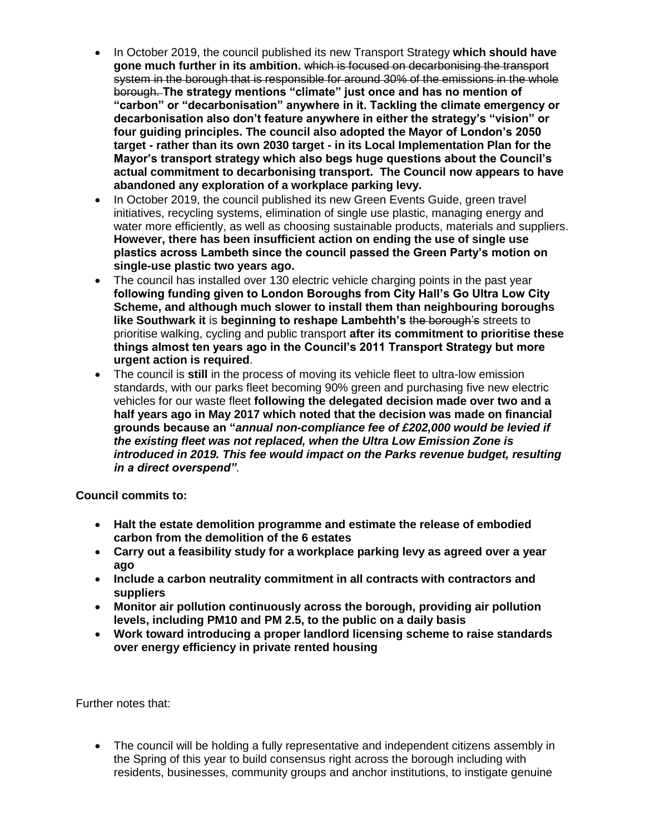- In October 2019, the council published its new Transport Strategy **which should have gone much further in its ambition.** which is focused on decarbonising the transport system in the borough that is responsible for around 30% of the emissions in the whole borough. **The strategy mentions "climate" just once and has no mention of "carbon" or "decarbonisation" anywhere in it. Tackling the climate emergency or decarbonisation also don't feature anywhere in either the strategy's "vision" or four guiding principles. The council also adopted the Mayor of London's 2050 target - rather than its own 2030 target - in its Local Implementation Plan for the Mayor's transport strategy which also begs huge questions about the Council's actual commitment to decarbonising transport. The Council now appears to have abandoned any exploration of a workplace parking levy.**
- In October 2019, the council published its new Green Events Guide, green travel initiatives, recycling systems, elimination of single use plastic, managing energy and water more efficiently, as well as choosing sustainable products, materials and suppliers. **However, there has been insufficient action on ending the use of single use plastics across Lambeth since the council passed the Green Party's motion on single-use plastic two years ago.**
- The council has installed over 130 electric vehicle charging points in the past year **following funding given to London Boroughs from City Hall's Go Ultra Low City Scheme, and although much slower to install them than neighbouring boroughs like Southwark it** is **beginning to reshape Lambehth's** the borough's streets to prioritise walking, cycling and public transport **after its commitment to prioritise these things almost ten years ago in the Council's 2011 Transport Strategy but more urgent action is required**.
- The council is **still** in the process of moving its vehicle fleet to ultra-low emission standards, with our parks fleet becoming 90% green and purchasing five new electric vehicles for our waste fleet **following the delegated decision made over two and a half years ago in May 2017 which noted that the decision was made on financial grounds because an "***annual non-compliance fee of £202,000 would be levied if the existing fleet was not replaced, when the Ultra Low Emission Zone is introduced in 2019. This fee would impact on the Parks revenue budget, resulting in a direct overspend"*.

**Council commits to:**

- **Halt the estate demolition programme and estimate the release of embodied carbon from the demolition of the 6 estates**
- **Carry out a feasibility study for a workplace parking levy as agreed over a year ago**
- **Include a carbon neutrality commitment in all contracts with contractors and suppliers**
- **Monitor air pollution continuously across the borough, providing air pollution levels, including PM10 and PM 2.5, to the public on a daily basis**
- **Work toward introducing a proper landlord licensing scheme to raise standards over energy efficiency in private rented housing**

Further notes that:

• The council will be holding a fully representative and independent citizens assembly in the Spring of this year to build consensus right across the borough including with residents, businesses, community groups and anchor institutions, to instigate genuine